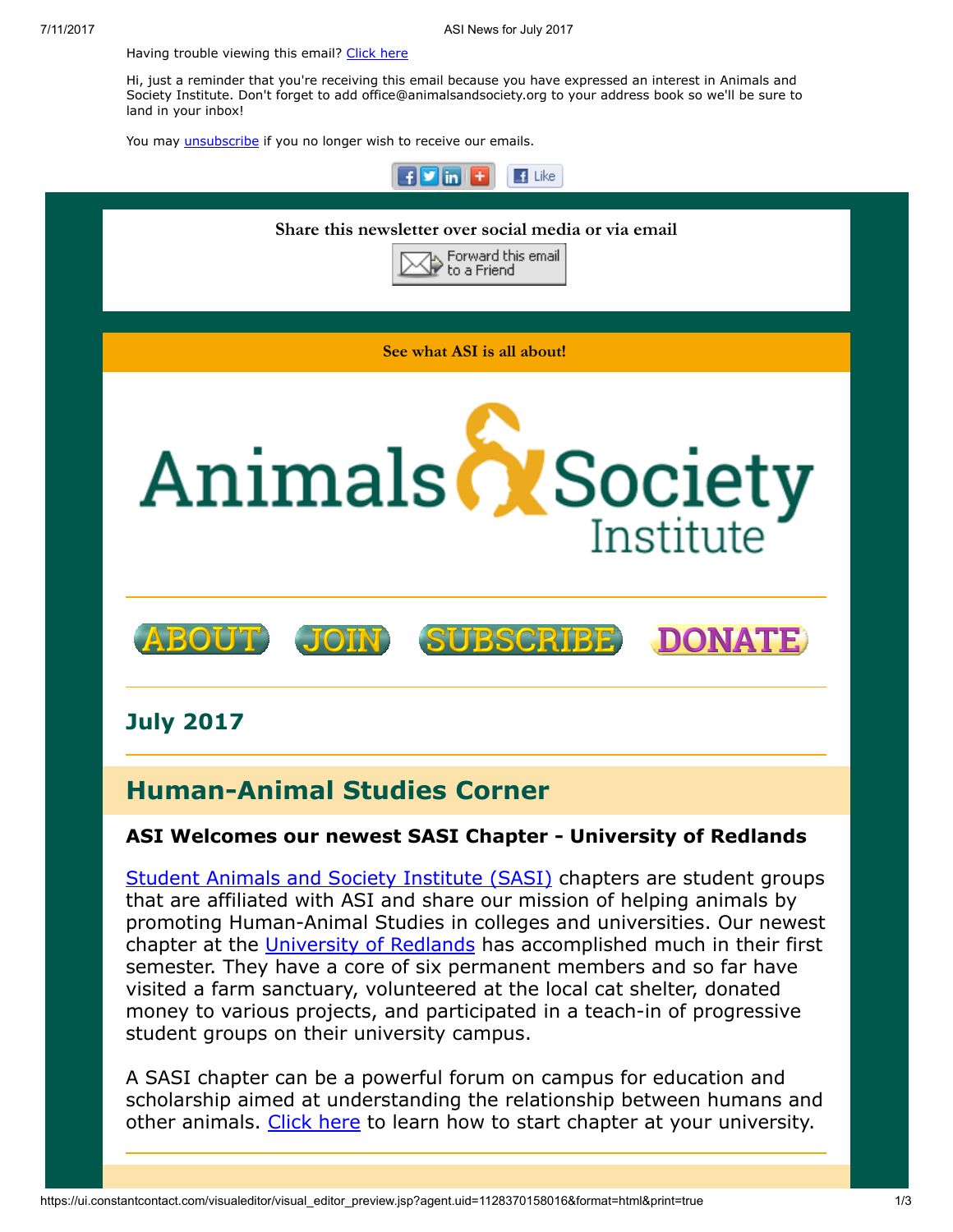Having trouble viewing this email? [Click](http://campaign.r20.constantcontact.com/render?ca=c0abf14e-821b-437b-84d1-f8ed697bf601&preview=true&m=1117082078075&id=preview) here

Hi, just a reminder that you're receiving this email because you have expressed an interest in Animals and Society Institute. Don't forget to add office@animalsandsociety.org to your address book so we'll be sure to land in your inbox!

You may *[unsubscribe](https://visitor.constantcontact.com/do?p=un&mse=0016u8cGCOk4ijLe6EYFlbq8UmlFeKV0nFU&t=0012RSI678wAdA35KBxk8px6A%3D%3D&id=001b-xBWU3VMkcM8dYr8taaWXSJRe02Iknl&llr=88spulqab)* if you no longer wish to receive our emails.



**Student Animals and Society [Institute](https://www.animalsandsociety.org/human-animal-studies/sasis/) (SASI)** chapters are student groups that are affiliated with ASI and share our mission of helping animals by promoting Human-Animal Studies in colleges and universities. Our newest chapter at the [University](https://www.facebook.com/SASIRedlands/) of Redlands has accomplished much in their first semester. They have a core of six permanent members and so far have visited a farm sanctuary, volunteered at the local cat shelter, donated money to various projects, and participated in a teach-in of progressive student groups on their university campus.

A SASI chapter can be a powerful forum on campus for education and scholarship aimed at understanding the relationship between humans and other animals. [Click](https://www.animalsandsociety.org/human-animal-studies/sasis/how-to-start-a-sasi-chapter/) here to learn how to start chapter at your university.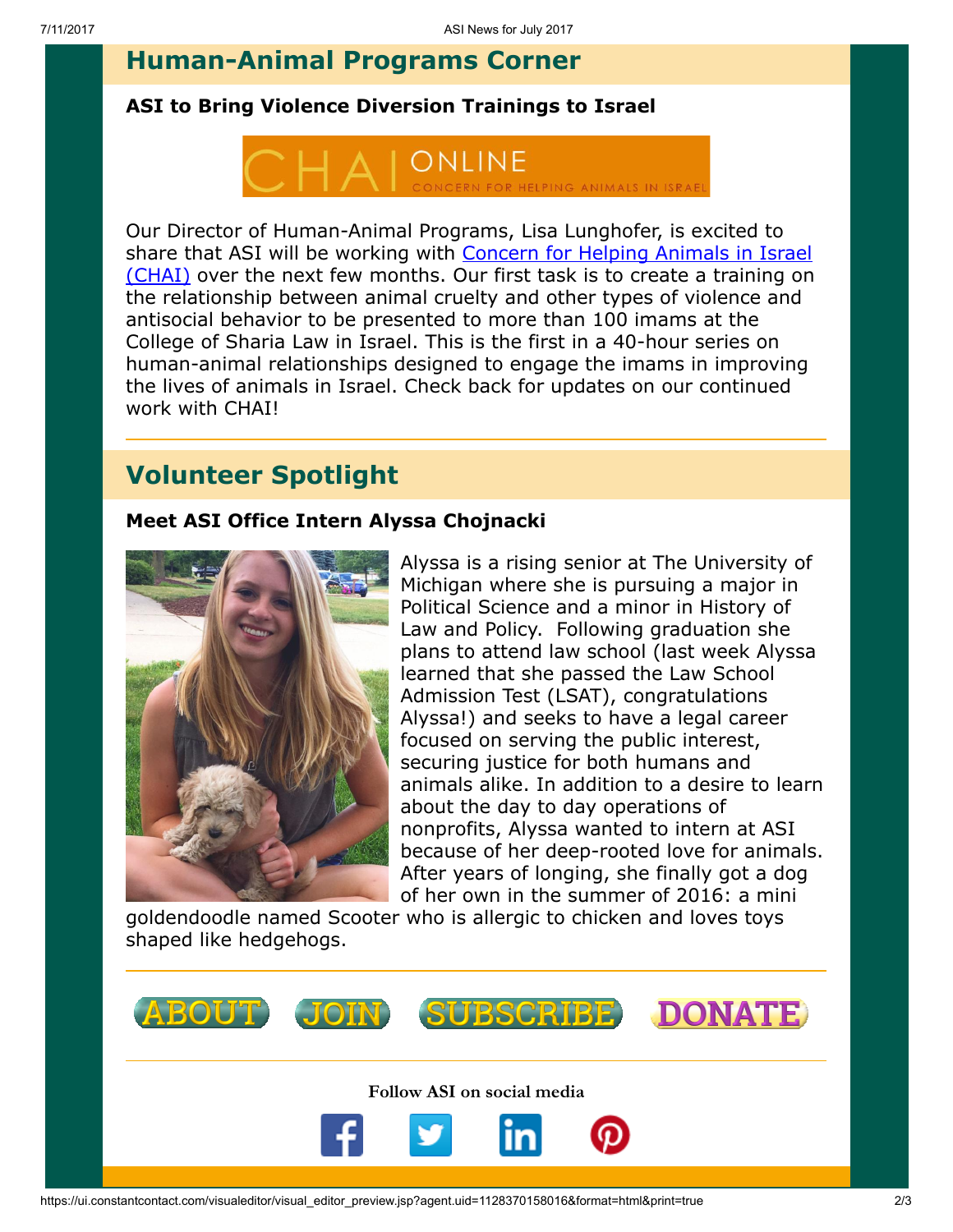## Human-Animal Programs Corner

## ASI to Bring Violence Diversion Trainings to Israel



Our Director of Human-Animal Programs, Lisa Lunghofer, is excited to share that ASI will be working with Concern for Helping Animals in Israel (CHAI) over the next few [months.](http://www.chai-online.org/en/home/e_index.htm) Our first task is to create a training on the relationship between animal cruelty and other types of violence and antisocial behavior to be presented to more than 100 imams at the College of Sharia Law in Israel. This is the first in a 40-hour series on human-animal relationships designed to engage the imams in improving the lives of animals in Israel. Check back for updates on our continued work with CHAI!

## Volunteer Spotlight

## Meet ASI Office Intern Alyssa Chojnacki



Alyssa is a rising senior at The University of Michigan where she is pursuing a major in Political Science and a minor in History of Law and Policy. Following graduation she plans to attend law school (last week Alyssa learned that she passed the Law School Admission Test (LSAT), congratulations Alyssa!) and seeks to have a legal career focused on serving the public interest, securing justice for both humans and animals alike. In addition to a desire to learn about the day to day operations of nonprofits, Alyssa wanted to intern at ASI because of her deep-rooted love for animals. After years of longing, she finally got a dog of her own in the summer of 2016: a mini

goldendoodle named Scooter who is allergic to chicken and loves toys shaped like hedgehogs.